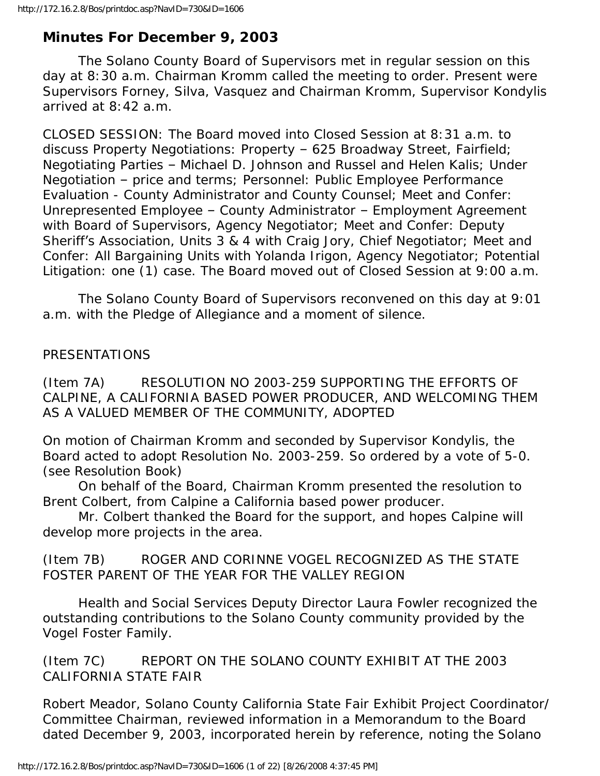# **Minutes For December 9, 2003**

 The Solano County Board of Supervisors met in regular session on this day at 8:30 a.m. Chairman Kromm called the meeting to order. Present were Supervisors Forney, Silva, Vasquez and Chairman Kromm, Supervisor Kondylis arrived at 8:42 a.m.

CLOSED SESSION: The Board moved into Closed Session at 8:31 a.m. to discuss Property Negotiations: Property – 625 Broadway Street, Fairfield; Negotiating Parties – Michael D. Johnson and Russel and Helen Kalis; Under Negotiation – price and terms; Personnel: Public Employee Performance Evaluation - County Administrator and County Counsel; Meet and Confer: Unrepresented Employee – County Administrator – Employment Agreement with Board of Supervisors, Agency Negotiator; Meet and Confer: Deputy Sheriff's Association, Units 3 & 4 with Craig Jory, Chief Negotiator; Meet and Confer: All Bargaining Units with Yolanda Irigon, Agency Negotiator; Potential Litigation: one (1) case. The Board moved out of Closed Session at 9:00 a.m.

 The Solano County Board of Supervisors reconvened on this day at 9:01 a.m. with the Pledge of Allegiance and a moment of silence.

#### PRESENTATIONS

(Item 7A) RESOLUTION NO 2003-259 SUPPORTING THE EFFORTS OF CALPINE, A CALIFORNIA BASED POWER PRODUCER, AND WELCOMING THEM AS A VALUED MEMBER OF THE COMMUNITY, ADOPTED

On motion of Chairman Kromm and seconded by Supervisor Kondylis, the Board acted to adopt Resolution No. 2003-259. So ordered by a vote of 5-0. (see Resolution Book)

 On behalf of the Board, Chairman Kromm presented the resolution to Brent Colbert, from Calpine a California based power producer.

 Mr. Colbert thanked the Board for the support, and hopes Calpine will develop more projects in the area.

(Item 7B) ROGER AND CORINNE VOGEL RECOGNIZED AS THE STATE FOSTER PARENT OF THE YEAR FOR THE VALLEY REGION

 Health and Social Services Deputy Director Laura Fowler recognized the outstanding contributions to the Solano County community provided by the Vogel Foster Family.

(Item 7C) REPORT ON THE SOLANO COUNTY EXHIBIT AT THE 2003 CALIFORNIA STATE FAIR

Robert Meador, Solano County California State Fair Exhibit Project Coordinator/ Committee Chairman, reviewed information in a Memorandum to the Board dated December 9, 2003, incorporated herein by reference, noting the Solano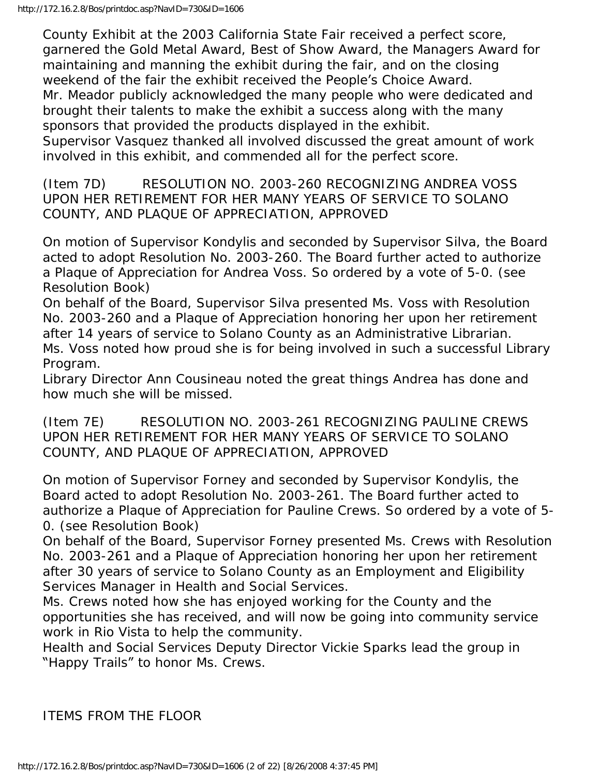County Exhibit at the 2003 California State Fair received a perfect score, garnered the Gold Metal Award, Best of Show Award, the Managers Award for maintaining and manning the exhibit during the fair, and on the closing weekend of the fair the exhibit received the People's Choice Award. Mr. Meador publicly acknowledged the many people who were dedicated and brought their talents to make the exhibit a success along with the many sponsors that provided the products displayed in the exhibit. Supervisor Vasquez thanked all involved discussed the great amount of work involved in this exhibit, and commended all for the perfect score.

(Item 7D) RESOLUTION NO. 2003-260 RECOGNIZING ANDREA VOSS UPON HER RETIREMENT FOR HER MANY YEARS OF SERVICE TO SOLANO COUNTY, AND PLAQUE OF APPRECIATION, APPROVED

On motion of Supervisor Kondylis and seconded by Supervisor Silva, the Board acted to adopt Resolution No. 2003-260. The Board further acted to authorize a Plaque of Appreciation for Andrea Voss. So ordered by a vote of 5-0. (see Resolution Book)

On behalf of the Board, Supervisor Silva presented Ms. Voss with Resolution No. 2003-260 and a Plaque of Appreciation honoring her upon her retirement after 14 years of service to Solano County as an Administrative Librarian. Ms. Voss noted how proud she is for being involved in such a successful Library Program.

Library Director Ann Cousineau noted the great things Andrea has done and how much she will be missed.

(Item 7E) RESOLUTION NO. 2003-261 RECOGNIZING PAULINE CREWS UPON HER RETIREMENT FOR HER MANY YEARS OF SERVICE TO SOLANO COUNTY, AND PLAQUE OF APPRECIATION, APPROVED

On motion of Supervisor Forney and seconded by Supervisor Kondylis, the Board acted to adopt Resolution No. 2003-261. The Board further acted to authorize a Plaque of Appreciation for Pauline Crews. So ordered by a vote of 5- 0. (see Resolution Book)

On behalf of the Board, Supervisor Forney presented Ms. Crews with Resolution No. 2003-261 and a Plaque of Appreciation honoring her upon her retirement after 30 years of service to Solano County as an Employment and Eligibility Services Manager in Health and Social Services.

Ms. Crews noted how she has enjoyed working for the County and the opportunities she has received, and will now be going into community service work in Rio Vista to help the community.

Health and Social Services Deputy Director Vickie Sparks lead the group in "Happy Trails" to honor Ms. Crews.

ITEMS FROM THE FLOOR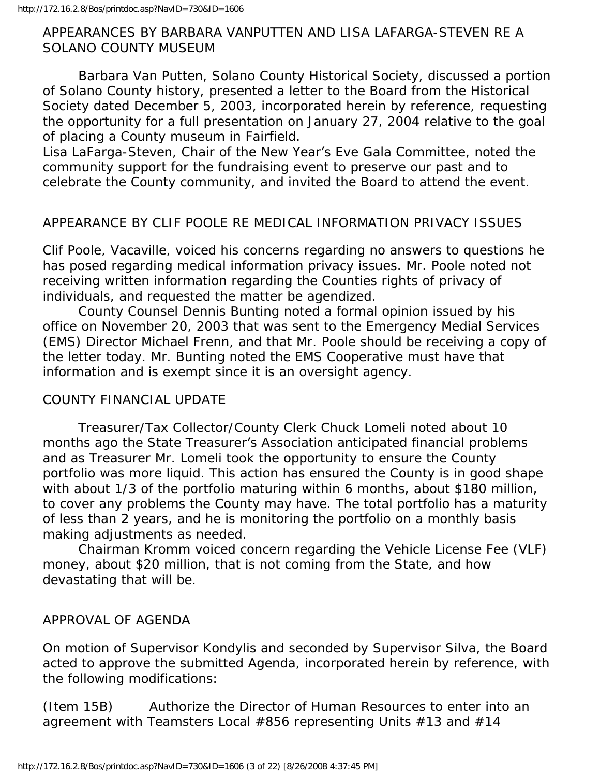#### APPEARANCES BY BARBARA VANPUTTEN AND LISA LAFARGA-STEVEN RE A SOLANO COUNTY MUSEUM

 Barbara Van Putten, Solano County Historical Society, discussed a portion of Solano County history, presented a letter to the Board from the Historical Society dated December 5, 2003, incorporated herein by reference, requesting the opportunity for a full presentation on January 27, 2004 relative to the goal of placing a County museum in Fairfield.

Lisa LaFarga-Steven, Chair of the New Year's Eve Gala Committee, noted the community support for the fundraising event to preserve our past and to celebrate the County community, and invited the Board to attend the event.

## APPEARANCE BY CLIF POOLE RE MEDICAL INFORMATION PRIVACY ISSUES

Clif Poole, Vacaville, voiced his concerns regarding no answers to questions he has posed regarding medical information privacy issues. Mr. Poole noted not receiving written information regarding the Counties rights of privacy of individuals, and requested the matter be agendized.

 County Counsel Dennis Bunting noted a formal opinion issued by his office on November 20, 2003 that was sent to the Emergency Medial Services (EMS) Director Michael Frenn, and that Mr. Poole should be receiving a copy of the letter today. Mr. Bunting noted the EMS Cooperative must have that information and is exempt since it is an oversight agency.

#### COUNTY FINANCIAL UPDATE

 Treasurer/Tax Collector/County Clerk Chuck Lomeli noted about 10 months ago the State Treasurer's Association anticipated financial problems and as Treasurer Mr. Lomeli took the opportunity to ensure the County portfolio was more liquid. This action has ensured the County is in good shape with about 1/3 of the portfolio maturing within 6 months, about \$180 million, to cover any problems the County may have. The total portfolio has a maturity of less than 2 years, and he is monitoring the portfolio on a monthly basis making adjustments as needed.

 Chairman Kromm voiced concern regarding the Vehicle License Fee (VLF) money, about \$20 million, that is not coming from the State, and how devastating that will be.

#### APPROVAL OF AGENDA

On motion of Supervisor Kondylis and seconded by Supervisor Silva, the Board acted to approve the submitted Agenda, incorporated herein by reference, with the following modifications:

(Item 15B) Authorize the Director of Human Resources to enter into an agreement with Teamsters Local #856 representing Units #13 and #14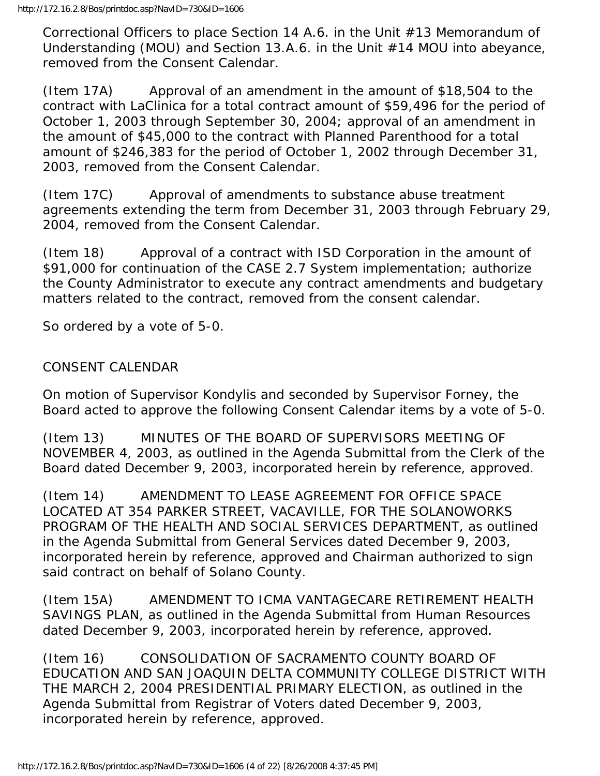Correctional Officers to place Section 14 A.6. in the Unit #13 Memorandum of Understanding (MOU) and Section 13.A.6. in the Unit #14 MOU into abeyance, removed from the Consent Calendar.

(Item 17A) Approval of an amendment in the amount of \$18,504 to the contract with LaClinica for a total contract amount of \$59,496 for the period of October 1, 2003 through September 30, 2004; approval of an amendment in the amount of \$45,000 to the contract with Planned Parenthood for a total amount of \$246,383 for the period of October 1, 2002 through December 31, 2003, removed from the Consent Calendar.

(Item 17C) Approval of amendments to substance abuse treatment agreements extending the term from December 31, 2003 through February 29, 2004, removed from the Consent Calendar.

(Item 18) Approval of a contract with ISD Corporation in the amount of \$91,000 for continuation of the CASE 2.7 System implementation; authorize the County Administrator to execute any contract amendments and budgetary matters related to the contract, removed from the consent calendar.

So ordered by a vote of 5-0.

# CONSENT CALENDAR

On motion of Supervisor Kondylis and seconded by Supervisor Forney, the Board acted to approve the following Consent Calendar items by a vote of 5-0.

(Item 13) MINUTES OF THE BOARD OF SUPERVISORS MEETING OF NOVEMBER 4, 2003, as outlined in the Agenda Submittal from the Clerk of the Board dated December 9, 2003, incorporated herein by reference, approved.

(Item 14) AMENDMENT TO LEASE AGREEMENT FOR OFFICE SPACE LOCATED AT 354 PARKER STREET, VACAVILLE, FOR THE SOLANOWORKS PROGRAM OF THE HEALTH AND SOCIAL SERVICES DEPARTMENT, as outlined in the Agenda Submittal from General Services dated December 9, 2003, incorporated herein by reference, approved and Chairman authorized to sign said contract on behalf of Solano County.

(Item 15A) AMENDMENT TO ICMA VANTAGECARE RETIREMENT HEALTH SAVINGS PLAN, as outlined in the Agenda Submittal from Human Resources dated December 9, 2003, incorporated herein by reference, approved.

(Item 16) CONSOLIDATION OF SACRAMENTO COUNTY BOARD OF EDUCATION AND SAN JOAQUIN DELTA COMMUNITY COLLEGE DISTRICT WITH THE MARCH 2, 2004 PRESIDENTIAL PRIMARY ELECTION, as outlined in the Agenda Submittal from Registrar of Voters dated December 9, 2003, incorporated herein by reference, approved.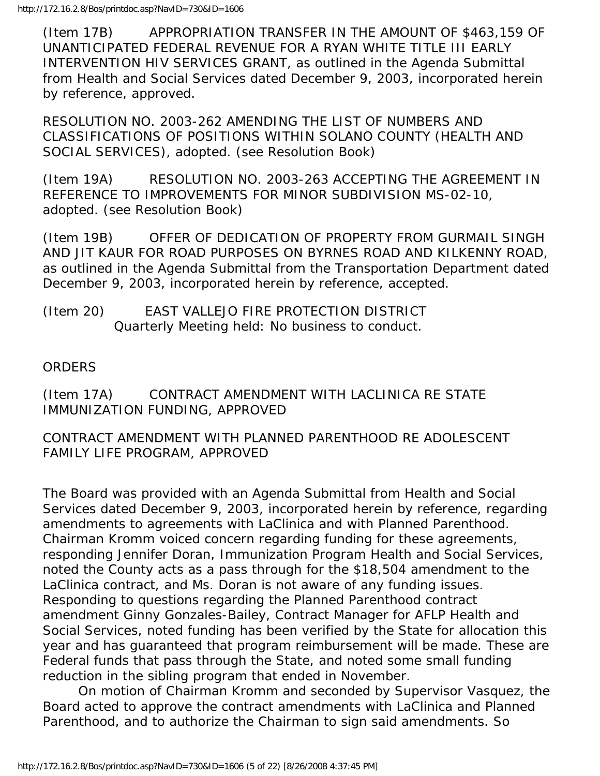(Item 17B) APPROPRIATION TRANSFER IN THE AMOUNT OF \$463,159 OF UNANTICIPATED FEDERAL REVENUE FOR A RYAN WHITE TITLE III EARLY INTERVENTION HIV SERVICES GRANT, as outlined in the Agenda Submittal from Health and Social Services dated December 9, 2003, incorporated herein by reference, approved.

RESOLUTION NO. 2003-262 AMENDING THE LIST OF NUMBERS AND CLASSIFICATIONS OF POSITIONS WITHIN SOLANO COUNTY (HEALTH AND SOCIAL SERVICES), adopted. (see Resolution Book)

(Item 19A) RESOLUTION NO. 2003-263 ACCEPTING THE AGREEMENT IN REFERENCE TO IMPROVEMENTS FOR MINOR SUBDIVISION MS-02-10, adopted. (see Resolution Book)

(Item 19B) OFFER OF DEDICATION OF PROPERTY FROM GURMAIL SINGH AND JIT KAUR FOR ROAD PURPOSES ON BYRNES ROAD AND KILKENNY ROAD, as outlined in the Agenda Submittal from the Transportation Department dated December 9, 2003, incorporated herein by reference, accepted.

#### (Item 20) EAST VALLEJO FIRE PROTECTION DISTRICT Quarterly Meeting held: No business to conduct.

## **ORDERS**

(Item 17A) CONTRACT AMENDMENT WITH LACLINICA RE STATE IMMUNIZATION FUNDING, APPROVED

#### CONTRACT AMENDMENT WITH PLANNED PARENTHOOD RE ADOLESCENT FAMILY LIFE PROGRAM, APPROVED

The Board was provided with an Agenda Submittal from Health and Social Services dated December 9, 2003, incorporated herein by reference, regarding amendments to agreements with LaClinica and with Planned Parenthood. Chairman Kromm voiced concern regarding funding for these agreements, responding Jennifer Doran, Immunization Program Health and Social Services, noted the County acts as a pass through for the \$18,504 amendment to the LaClinica contract, and Ms. Doran is not aware of any funding issues. Responding to questions regarding the Planned Parenthood contract amendment Ginny Gonzales-Bailey, Contract Manager for AFLP Health and Social Services, noted funding has been verified by the State for allocation this year and has guaranteed that program reimbursement will be made. These are Federal funds that pass through the State, and noted some small funding reduction in the sibling program that ended in November.

 On motion of Chairman Kromm and seconded by Supervisor Vasquez, the Board acted to approve the contract amendments with LaClinica and Planned Parenthood, and to authorize the Chairman to sign said amendments. So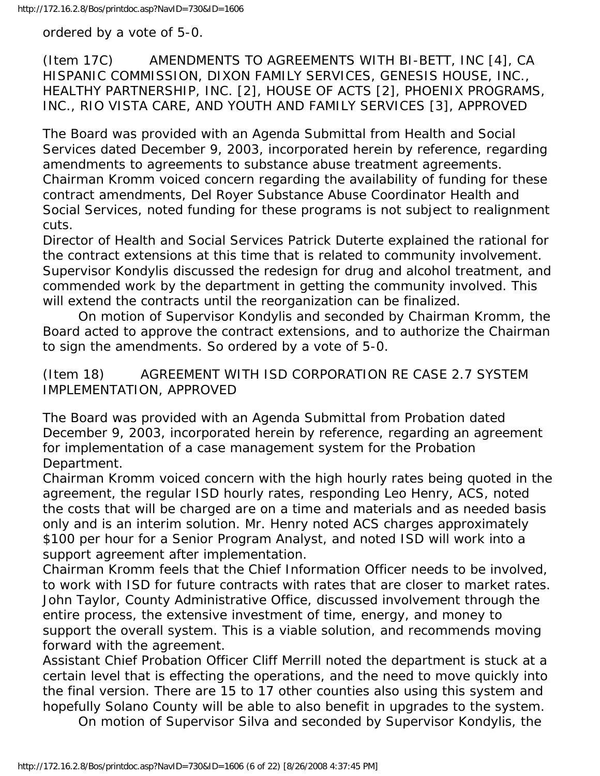ordered by a vote of 5-0.

(Item 17C) AMENDMENTS TO AGREEMENTS WITH BI-BETT, INC [4], CA HISPANIC COMMISSION, DIXON FAMILY SERVICES, GENESIS HOUSE, INC., HEALTHY PARTNERSHIP, INC. [2], HOUSE OF ACTS [2], PHOENIX PROGRAMS, INC., RIO VISTA CARE, AND YOUTH AND FAMILY SERVICES [3], APPROVED

The Board was provided with an Agenda Submittal from Health and Social Services dated December 9, 2003, incorporated herein by reference, regarding amendments to agreements to substance abuse treatment agreements. Chairman Kromm voiced concern regarding the availability of funding for these contract amendments, Del Royer Substance Abuse Coordinator Health and Social Services, noted funding for these programs is not subject to realignment cuts.

Director of Health and Social Services Patrick Duterte explained the rational for the contract extensions at this time that is related to community involvement. Supervisor Kondylis discussed the redesign for drug and alcohol treatment, and commended work by the department in getting the community involved. This will extend the contracts until the reorganization can be finalized.

 On motion of Supervisor Kondylis and seconded by Chairman Kromm, the Board acted to approve the contract extensions, and to authorize the Chairman to sign the amendments. So ordered by a vote of 5-0.

(Item 18) AGREEMENT WITH ISD CORPORATION RE CASE 2.7 SYSTEM IMPLEMENTATION, APPROVED

The Board was provided with an Agenda Submittal from Probation dated December 9, 2003, incorporated herein by reference, regarding an agreement for implementation of a case management system for the Probation Department.

Chairman Kromm voiced concern with the high hourly rates being quoted in the agreement, the regular ISD hourly rates, responding Leo Henry, ACS, noted the costs that will be charged are on a time and materials and as needed basis only and is an interim solution. Mr. Henry noted ACS charges approximately \$100 per hour for a Senior Program Analyst, and noted ISD will work into a support agreement after implementation.

Chairman Kromm feels that the Chief Information Officer needs to be involved, to work with ISD for future contracts with rates that are closer to market rates. John Taylor, County Administrative Office, discussed involvement through the entire process, the extensive investment of time, energy, and money to support the overall system. This is a viable solution, and recommends moving forward with the agreement.

Assistant Chief Probation Officer Cliff Merrill noted the department is stuck at a certain level that is effecting the operations, and the need to move quickly into the final version. There are 15 to 17 other counties also using this system and hopefully Solano County will be able to also benefit in upgrades to the system.

On motion of Supervisor Silva and seconded by Supervisor Kondylis, the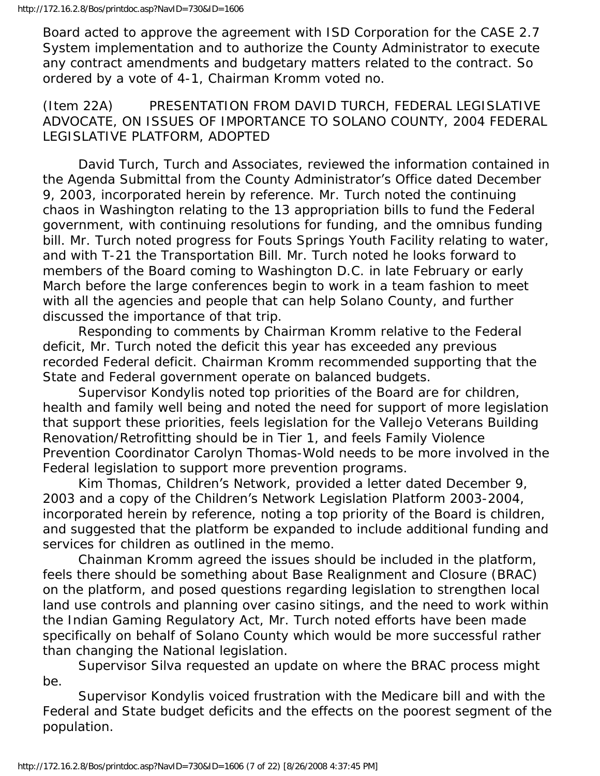Board acted to approve the agreement with ISD Corporation for the CASE 2.7 System implementation and to authorize the County Administrator to execute any contract amendments and budgetary matters related to the contract. So ordered by a vote of 4-1, Chairman Kromm voted no.

(Item 22A) PRESENTATION FROM DAVID TURCH, FEDERAL LEGISLATIVE ADVOCATE, ON ISSUES OF IMPORTANCE TO SOLANO COUNTY, 2004 FEDERAL LEGISLATIVE PLATFORM, ADOPTED

 David Turch, Turch and Associates, reviewed the information contained in the Agenda Submittal from the County Administrator's Office dated December 9, 2003, incorporated herein by reference. Mr. Turch noted the continuing chaos in Washington relating to the 13 appropriation bills to fund the Federal government, with continuing resolutions for funding, and the omnibus funding bill. Mr. Turch noted progress for Fouts Springs Youth Facility relating to water, and with T-21 the Transportation Bill. Mr. Turch noted he looks forward to members of the Board coming to Washington D.C. in late February or early March before the large conferences begin to work in a team fashion to meet with all the agencies and people that can help Solano County, and further discussed the importance of that trip.

 Responding to comments by Chairman Kromm relative to the Federal deficit, Mr. Turch noted the deficit this year has exceeded any previous recorded Federal deficit. Chairman Kromm recommended supporting that the State and Federal government operate on balanced budgets.

 Supervisor Kondylis noted top priorities of the Board are for children, health and family well being and noted the need for support of more legislation that support these priorities, feels legislation for the Vallejo Veterans Building Renovation/Retrofitting should be in Tier 1, and feels Family Violence Prevention Coordinator Carolyn Thomas-Wold needs to be more involved in the Federal legislation to support more prevention programs.

 Kim Thomas, Children's Network, provided a letter dated December 9, 2003 and a copy of the Children's Network Legislation Platform 2003-2004, incorporated herein by reference, noting a top priority of the Board is children, and suggested that the platform be expanded to include additional funding and services for children as outlined in the memo.

 Chainman Kromm agreed the issues should be included in the platform, feels there should be something about Base Realignment and Closure (BRAC) on the platform, and posed questions regarding legislation to strengthen local land use controls and planning over casino sitings, and the need to work within the Indian Gaming Regulatory Act, Mr. Turch noted efforts have been made specifically on behalf of Solano County which would be more successful rather than changing the National legislation.

 Supervisor Silva requested an update on where the BRAC process might be.

 Supervisor Kondylis voiced frustration with the Medicare bill and with the Federal and State budget deficits and the effects on the poorest segment of the population.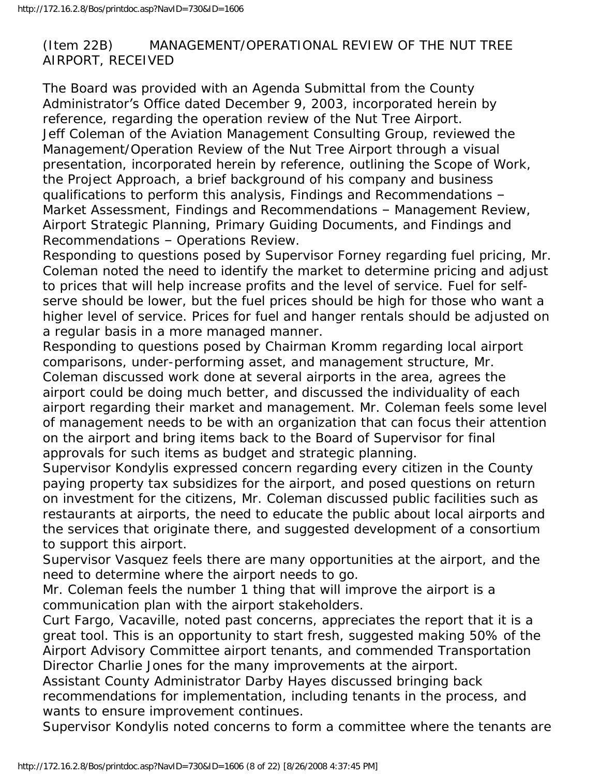(Item 22B) MANAGEMENT/OPERATIONAL REVIEW OF THE NUT TREE AIRPORT, RECEIVED

The Board was provided with an Agenda Submittal from the County Administrator's Office dated December 9, 2003, incorporated herein by reference, regarding the operation review of the Nut Tree Airport. Jeff Coleman of the Aviation Management Consulting Group, reviewed the Management/Operation Review of the Nut Tree Airport through a visual presentation, incorporated herein by reference, outlining the Scope of Work, the Project Approach, a brief background of his company and business qualifications to perform this analysis, Findings and Recommendations – Market Assessment, Findings and Recommendations – Management Review, Airport Strategic Planning, Primary Guiding Documents, and Findings and Recommendations – Operations Review.

Responding to questions posed by Supervisor Forney regarding fuel pricing, Mr. Coleman noted the need to identify the market to determine pricing and adjust to prices that will help increase profits and the level of service. Fuel for selfserve should be lower, but the fuel prices should be high for those who want a higher level of service. Prices for fuel and hanger rentals should be adjusted on a regular basis in a more managed manner.

Responding to questions posed by Chairman Kromm regarding local airport comparisons, under-performing asset, and management structure, Mr. Coleman discussed work done at several airports in the area, agrees the airport could be doing much better, and discussed the individuality of each airport regarding their market and management. Mr. Coleman feels some level of management needs to be with an organization that can focus their attention on the airport and bring items back to the Board of Supervisor for final approvals for such items as budget and strategic planning.

Supervisor Kondylis expressed concern regarding every citizen in the County paying property tax subsidizes for the airport, and posed questions on return on investment for the citizens, Mr. Coleman discussed public facilities such as restaurants at airports, the need to educate the public about local airports and the services that originate there, and suggested development of a consortium to support this airport.

Supervisor Vasquez feels there are many opportunities at the airport, and the need to determine where the airport needs to go.

Mr. Coleman feels the number 1 thing that will improve the airport is a communication plan with the airport stakeholders.

Curt Fargo, Vacaville, noted past concerns, appreciates the report that it is a great tool. This is an opportunity to start fresh, suggested making 50% of the Airport Advisory Committee airport tenants, and commended Transportation Director Charlie Jones for the many improvements at the airport.

Assistant County Administrator Darby Hayes discussed bringing back recommendations for implementation, including tenants in the process, and wants to ensure improvement continues.

Supervisor Kondylis noted concerns to form a committee where the tenants are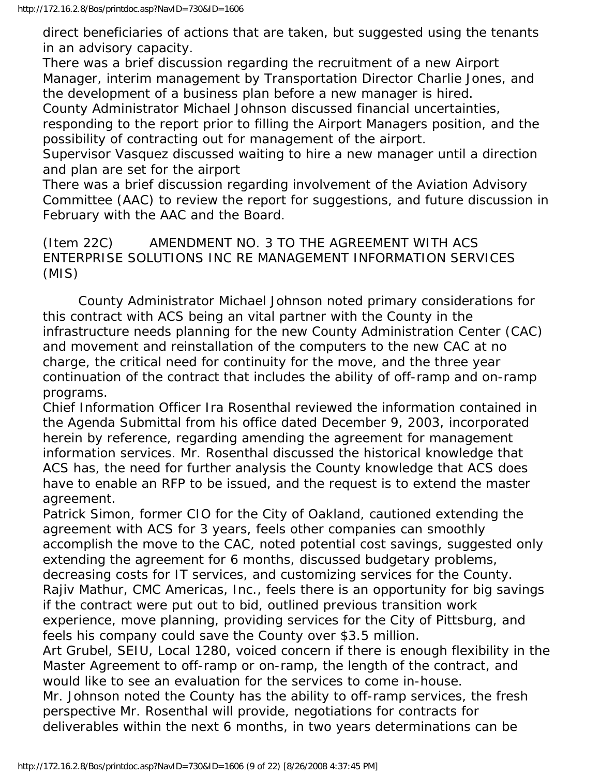direct beneficiaries of actions that are taken, but suggested using the tenants in an advisory capacity.

There was a brief discussion regarding the recruitment of a new Airport Manager, interim management by Transportation Director Charlie Jones, and the development of a business plan before a new manager is hired.

County Administrator Michael Johnson discussed financial uncertainties, responding to the report prior to filling the Airport Managers position, and the possibility of contracting out for management of the airport.

Supervisor Vasquez discussed waiting to hire a new manager until a direction and plan are set for the airport

There was a brief discussion regarding involvement of the Aviation Advisory Committee (AAC) to review the report for suggestions, and future discussion in February with the AAC and the Board.

(Item 22C) AMENDMENT NO. 3 TO THE AGREEMENT WITH ACS ENTERPRISE SOLUTIONS INC RE MANAGEMENT INFORMATION SERVICES (MIS)

 County Administrator Michael Johnson noted primary considerations for this contract with ACS being an vital partner with the County in the infrastructure needs planning for the new County Administration Center (CAC) and movement and reinstallation of the computers to the new CAC at no charge, the critical need for continuity for the move, and the three year continuation of the contract that includes the ability of off-ramp and on-ramp programs.

Chief Information Officer Ira Rosenthal reviewed the information contained in the Agenda Submittal from his office dated December 9, 2003, incorporated herein by reference, regarding amending the agreement for management information services. Mr. Rosenthal discussed the historical knowledge that ACS has, the need for further analysis the County knowledge that ACS does have to enable an RFP to be issued, and the request is to extend the master agreement.

Patrick Simon, former CIO for the City of Oakland, cautioned extending the agreement with ACS for 3 years, feels other companies can smoothly accomplish the move to the CAC, noted potential cost savings, suggested only extending the agreement for 6 months, discussed budgetary problems, decreasing costs for IT services, and customizing services for the County.

Rajiv Mathur, CMC Americas, Inc., feels there is an opportunity for big savings if the contract were put out to bid, outlined previous transition work experience, move planning, providing services for the City of Pittsburg, and

feels his company could save the County over \$3.5 million.

Art Grubel, SEIU, Local 1280, voiced concern if there is enough flexibility in the Master Agreement to off-ramp or on-ramp, the length of the contract, and would like to see an evaluation for the services to come in-house.

Mr. Johnson noted the County has the ability to off-ramp services, the fresh perspective Mr. Rosenthal will provide, negotiations for contracts for deliverables within the next 6 months, in two years determinations can be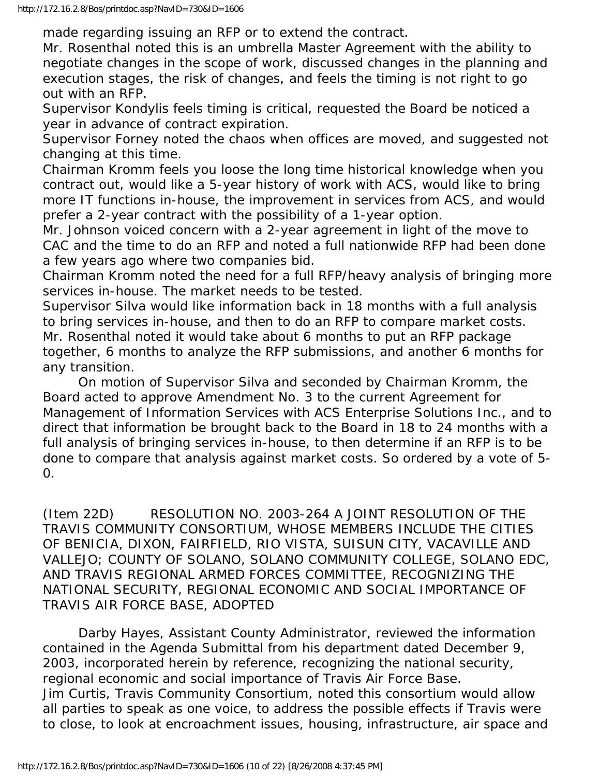made regarding issuing an RFP or to extend the contract.

Mr. Rosenthal noted this is an umbrella Master Agreement with the ability to negotiate changes in the scope of work, discussed changes in the planning and execution stages, the risk of changes, and feels the timing is not right to go out with an RFP.

Supervisor Kondylis feels timing is critical, requested the Board be noticed a year in advance of contract expiration.

Supervisor Forney noted the chaos when offices are moved, and suggested not changing at this time.

Chairman Kromm feels you loose the long time historical knowledge when you contract out, would like a 5-year history of work with ACS, would like to bring more IT functions in-house, the improvement in services from ACS, and would prefer a 2-year contract with the possibility of a 1-year option.

Mr. Johnson voiced concern with a 2-year agreement in light of the move to CAC and the time to do an RFP and noted a full nationwide RFP had been done a few years ago where two companies bid.

Chairman Kromm noted the need for a full RFP/heavy analysis of bringing more services in-house. The market needs to be tested.

Supervisor Silva would like information back in 18 months with a full analysis to bring services in-house, and then to do an RFP to compare market costs. Mr. Rosenthal noted it would take about 6 months to put an RFP package together, 6 months to analyze the RFP submissions, and another 6 months for any transition.

 On motion of Supervisor Silva and seconded by Chairman Kromm, the Board acted to approve Amendment No. 3 to the current Agreement for Management of Information Services with ACS Enterprise Solutions Inc., and to direct that information be brought back to the Board in 18 to 24 months with a full analysis of bringing services in-house, to then determine if an RFP is to be done to compare that analysis against market costs. So ordered by a vote of 5- 0.

(Item 22D) RESOLUTION NO. 2003-264 A JOINT RESOLUTION OF THE TRAVIS COMMUNITY CONSORTIUM, WHOSE MEMBERS INCLUDE THE CITIES OF BENICIA, DIXON, FAIRFIELD, RIO VISTA, SUISUN CITY, VACAVILLE AND VALLEJO; COUNTY OF SOLANO, SOLANO COMMUNITY COLLEGE, SOLANO EDC, AND TRAVIS REGIONAL ARMED FORCES COMMITTEE, RECOGNIZING THE NATIONAL SECURITY, REGIONAL ECONOMIC AND SOCIAL IMPORTANCE OF TRAVIS AIR FORCE BASE, ADOPTED

 Darby Hayes, Assistant County Administrator, reviewed the information contained in the Agenda Submittal from his department dated December 9, 2003, incorporated herein by reference, recognizing the national security, regional economic and social importance of Travis Air Force Base. Jim Curtis, Travis Community Consortium, noted this consortium would allow all parties to speak as one voice, to address the possible effects if Travis were to close, to look at encroachment issues, housing, infrastructure, air space and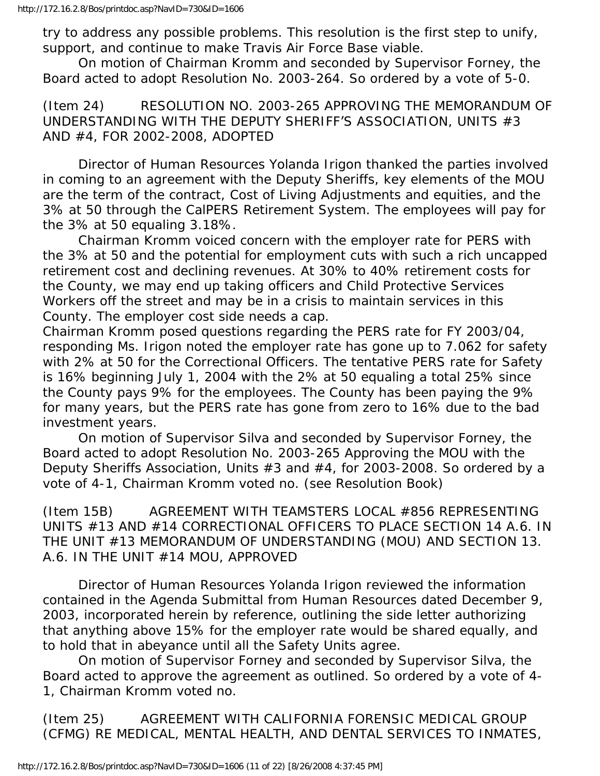try to address any possible problems. This resolution is the first step to unify, support, and continue to make Travis Air Force Base viable.

 On motion of Chairman Kromm and seconded by Supervisor Forney, the Board acted to adopt Resolution No. 2003-264. So ordered by a vote of 5-0.

(Item 24) RESOLUTION NO. 2003-265 APPROVING THE MEMORANDUM OF UNDERSTANDING WITH THE DEPUTY SHERIFF'S ASSOCIATION, UNITS #3 AND #4, FOR 2002-2008, ADOPTED

 Director of Human Resources Yolanda Irigon thanked the parties involved in coming to an agreement with the Deputy Sheriffs, key elements of the MOU are the term of the contract, Cost of Living Adjustments and equities, and the 3% at 50 through the CalPERS Retirement System. The employees will pay for the 3% at 50 equaling 3.18%.

 Chairman Kromm voiced concern with the employer rate for PERS with the 3% at 50 and the potential for employment cuts with such a rich uncapped retirement cost and declining revenues. At 30% to 40% retirement costs for the County, we may end up taking officers and Child Protective Services Workers off the street and may be in a crisis to maintain services in this County. The employer cost side needs a cap.

Chairman Kromm posed questions regarding the PERS rate for FY 2003/04, responding Ms. Irigon noted the employer rate has gone up to 7.062 for safety with 2% at 50 for the Correctional Officers. The tentative PERS rate for Safety is 16% beginning July 1, 2004 with the 2% at 50 equaling a total 25% since the County pays 9% for the employees. The County has been paying the 9% for many years, but the PERS rate has gone from zero to 16% due to the bad investment years.

 On motion of Supervisor Silva and seconded by Supervisor Forney, the Board acted to adopt Resolution No. 2003-265 Approving the MOU with the Deputy Sheriffs Association, Units #3 and #4, for 2003-2008. So ordered by a vote of 4-1, Chairman Kromm voted no. (see Resolution Book)

(Item 15B) AGREEMENT WITH TEAMSTERS LOCAL #856 REPRESENTING UNITS #13 AND #14 CORRECTIONAL OFFICERS TO PLACE SECTION 14 A.6. IN THE UNIT #13 MEMORANDUM OF UNDERSTANDING (MOU) AND SECTION 13. A.6. IN THE UNIT #14 MOU, APPROVED

 Director of Human Resources Yolanda Irigon reviewed the information contained in the Agenda Submittal from Human Resources dated December 9, 2003, incorporated herein by reference, outlining the side letter authorizing that anything above 15% for the employer rate would be shared equally, and to hold that in abeyance until all the Safety Units agree.

 On motion of Supervisor Forney and seconded by Supervisor Silva, the Board acted to approve the agreement as outlined. So ordered by a vote of 4- 1, Chairman Kromm voted no.

(Item 25) AGREEMENT WITH CALIFORNIA FORENSIC MEDICAL GROUP (CFMG) RE MEDICAL, MENTAL HEALTH, AND DENTAL SERVICES TO INMATES,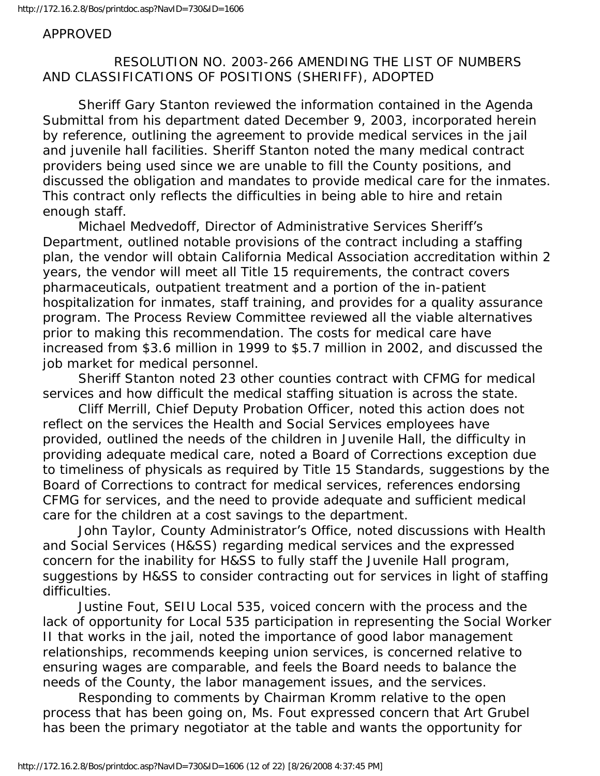## APPROVED

# RESOLUTION NO. 2003-266 AMENDING THE LIST OF NUMBERS AND CLASSIFICATIONS OF POSITIONS (SHERIFF), ADOPTED

 Sheriff Gary Stanton reviewed the information contained in the Agenda Submittal from his department dated December 9, 2003, incorporated herein by reference, outlining the agreement to provide medical services in the jail and juvenile hall facilities. Sheriff Stanton noted the many medical contract providers being used since we are unable to fill the County positions, and discussed the obligation and mandates to provide medical care for the inmates. This contract only reflects the difficulties in being able to hire and retain enough staff.

 Michael Medvedoff, Director of Administrative Services Sheriff's Department, outlined notable provisions of the contract including a staffing plan, the vendor will obtain California Medical Association accreditation within 2 years, the vendor will meet all Title 15 requirements, the contract covers pharmaceuticals, outpatient treatment and a portion of the in-patient hospitalization for inmates, staff training, and provides for a quality assurance program. The Process Review Committee reviewed all the viable alternatives prior to making this recommendation. The costs for medical care have increased from \$3.6 million in 1999 to \$5.7 million in 2002, and discussed the job market for medical personnel.

 Sheriff Stanton noted 23 other counties contract with CFMG for medical services and how difficult the medical staffing situation is across the state.

 Cliff Merrill, Chief Deputy Probation Officer, noted this action does not reflect on the services the Health and Social Services employees have provided, outlined the needs of the children in Juvenile Hall, the difficulty in providing adequate medical care, noted a Board of Corrections exception due to timeliness of physicals as required by Title 15 Standards, suggestions by the Board of Corrections to contract for medical services, references endorsing CFMG for services, and the need to provide adequate and sufficient medical care for the children at a cost savings to the department.

 John Taylor, County Administrator's Office, noted discussions with Health and Social Services (H&SS) regarding medical services and the expressed concern for the inability for H&SS to fully staff the Juvenile Hall program, suggestions by H&SS to consider contracting out for services in light of staffing difficulties.

 Justine Fout, SEIU Local 535, voiced concern with the process and the lack of opportunity for Local 535 participation in representing the Social Worker II that works in the jail, noted the importance of good labor management relationships, recommends keeping union services, is concerned relative to ensuring wages are comparable, and feels the Board needs to balance the needs of the County, the labor management issues, and the services.

 Responding to comments by Chairman Kromm relative to the open process that has been going on, Ms. Fout expressed concern that Art Grubel has been the primary negotiator at the table and wants the opportunity for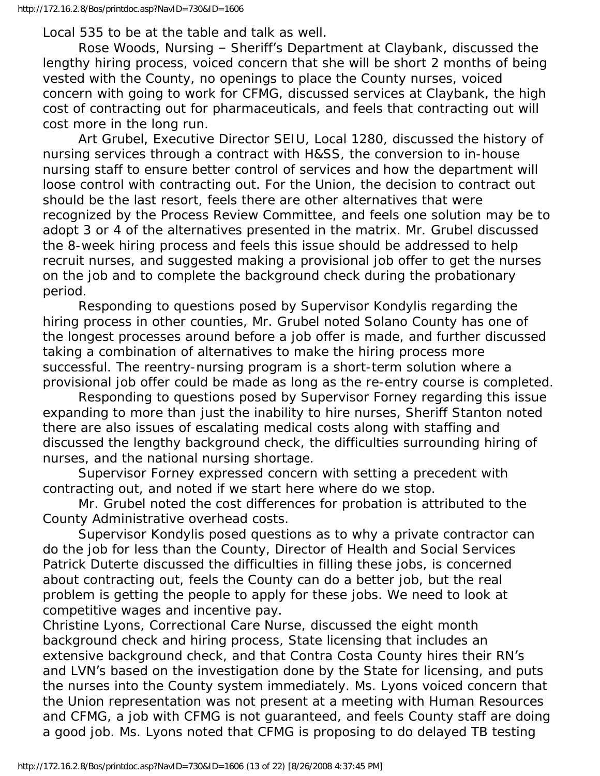Local 535 to be at the table and talk as well.

 Rose Woods, Nursing – Sheriff's Department at Claybank, discussed the lengthy hiring process, voiced concern that she will be short 2 months of being vested with the County, no openings to place the County nurses, voiced concern with going to work for CFMG, discussed services at Claybank, the high cost of contracting out for pharmaceuticals, and feels that contracting out will cost more in the long run.

 Art Grubel, Executive Director SEIU, Local 1280, discussed the history of nursing services through a contract with H&SS, the conversion to in-house nursing staff to ensure better control of services and how the department will loose control with contracting out. For the Union, the decision to contract out should be the last resort, feels there are other alternatives that were recognized by the Process Review Committee, and feels one solution may be to adopt 3 or 4 of the alternatives presented in the matrix. Mr. Grubel discussed the 8-week hiring process and feels this issue should be addressed to help recruit nurses, and suggested making a provisional job offer to get the nurses on the job and to complete the background check during the probationary period.

 Responding to questions posed by Supervisor Kondylis regarding the hiring process in other counties, Mr. Grubel noted Solano County has one of the longest processes around before a job offer is made, and further discussed taking a combination of alternatives to make the hiring process more successful. The reentry-nursing program is a short-term solution where a provisional job offer could be made as long as the re-entry course is completed.

 Responding to questions posed by Supervisor Forney regarding this issue expanding to more than just the inability to hire nurses, Sheriff Stanton noted there are also issues of escalating medical costs along with staffing and discussed the lengthy background check, the difficulties surrounding hiring of nurses, and the national nursing shortage.

 Supervisor Forney expressed concern with setting a precedent with contracting out, and noted if we start here where do we stop.

 Mr. Grubel noted the cost differences for probation is attributed to the County Administrative overhead costs.

 Supervisor Kondylis posed questions as to why a private contractor can do the job for less than the County, Director of Health and Social Services Patrick Duterte discussed the difficulties in filling these jobs, is concerned about contracting out, feels the County can do a better job, but the real problem is getting the people to apply for these jobs. We need to look at competitive wages and incentive pay.

Christine Lyons, Correctional Care Nurse, discussed the eight month background check and hiring process, State licensing that includes an extensive background check, and that Contra Costa County hires their RN's and LVN's based on the investigation done by the State for licensing, and puts the nurses into the County system immediately. Ms. Lyons voiced concern that the Union representation was not present at a meeting with Human Resources and CFMG, a job with CFMG is not guaranteed, and feels County staff are doing a good job. Ms. Lyons noted that CFMG is proposing to do delayed TB testing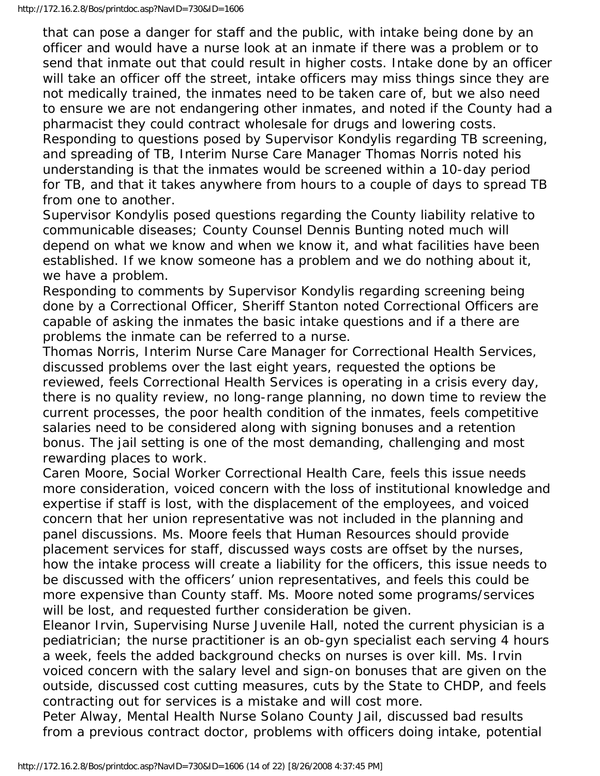that can pose a danger for staff and the public, with intake being done by an officer and would have a nurse look at an inmate if there was a problem or to send that inmate out that could result in higher costs. Intake done by an officer will take an officer off the street, intake officers may miss things since they are not medically trained, the inmates need to be taken care of, but we also need to ensure we are not endangering other inmates, and noted if the County had a pharmacist they could contract wholesale for drugs and lowering costs. Responding to questions posed by Supervisor Kondylis regarding TB screening, and spreading of TB, Interim Nurse Care Manager Thomas Norris noted his

understanding is that the inmates would be screened within a 10-day period for TB, and that it takes anywhere from hours to a couple of days to spread TB from one to another.

Supervisor Kondylis posed questions regarding the County liability relative to communicable diseases; County Counsel Dennis Bunting noted much will depend on what we know and when we know it, and what facilities have been established. If we know someone has a problem and we do nothing about it, we have a problem.

Responding to comments by Supervisor Kondylis regarding screening being done by a Correctional Officer, Sheriff Stanton noted Correctional Officers are capable of asking the inmates the basic intake questions and if a there are problems the inmate can be referred to a nurse.

Thomas Norris, Interim Nurse Care Manager for Correctional Health Services, discussed problems over the last eight years, requested the options be reviewed, feels Correctional Health Services is operating in a crisis every day, there is no quality review, no long-range planning, no down time to review the current processes, the poor health condition of the inmates, feels competitive salaries need to be considered along with signing bonuses and a retention bonus. The jail setting is one of the most demanding, challenging and most rewarding places to work.

Caren Moore, Social Worker Correctional Health Care, feels this issue needs more consideration, voiced concern with the loss of institutional knowledge and expertise if staff is lost, with the displacement of the employees, and voiced concern that her union representative was not included in the planning and panel discussions. Ms. Moore feels that Human Resources should provide placement services for staff, discussed ways costs are offset by the nurses, how the intake process will create a liability for the officers, this issue needs to be discussed with the officers' union representatives, and feels this could be more expensive than County staff. Ms. Moore noted some programs/services will be lost, and requested further consideration be given.

Eleanor Irvin, Supervising Nurse Juvenile Hall, noted the current physician is a pediatrician; the nurse practitioner is an ob-gyn specialist each serving 4 hours a week, feels the added background checks on nurses is over kill. Ms. Irvin voiced concern with the salary level and sign-on bonuses that are given on the outside, discussed cost cutting measures, cuts by the State to CHDP, and feels contracting out for services is a mistake and will cost more.

Peter Alway, Mental Health Nurse Solano County Jail, discussed bad results from a previous contract doctor, problems with officers doing intake, potential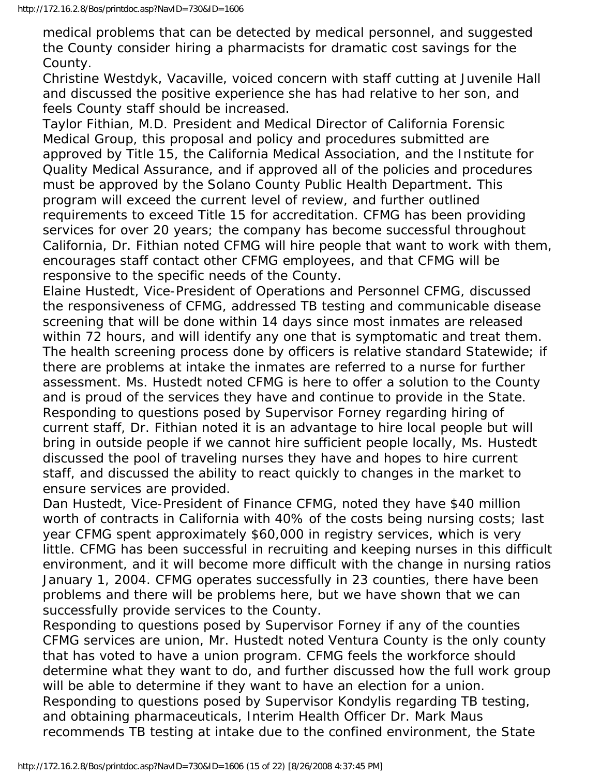medical problems that can be detected by medical personnel, and suggested the County consider hiring a pharmacists for dramatic cost savings for the County.

Christine Westdyk, Vacaville, voiced concern with staff cutting at Juvenile Hall and discussed the positive experience she has had relative to her son, and feels County staff should be increased.

Taylor Fithian, M.D. President and Medical Director of California Forensic Medical Group, this proposal and policy and procedures submitted are approved by Title 15, the California Medical Association, and the Institute for Quality Medical Assurance, and if approved all of the policies and procedures must be approved by the Solano County Public Health Department. This program will exceed the current level of review, and further outlined requirements to exceed Title 15 for accreditation. CFMG has been providing services for over 20 years; the company has become successful throughout California, Dr. Fithian noted CFMG will hire people that want to work with them, encourages staff contact other CFMG employees, and that CFMG will be responsive to the specific needs of the County.

Elaine Hustedt, Vice-President of Operations and Personnel CFMG, discussed the responsiveness of CFMG, addressed TB testing and communicable disease screening that will be done within 14 days since most inmates are released within 72 hours, and will identify any one that is symptomatic and treat them. The health screening process done by officers is relative standard Statewide; if there are problems at intake the inmates are referred to a nurse for further assessment. Ms. Hustedt noted CFMG is here to offer a solution to the County and is proud of the services they have and continue to provide in the State. Responding to questions posed by Supervisor Forney regarding hiring of current staff, Dr. Fithian noted it is an advantage to hire local people but will bring in outside people if we cannot hire sufficient people locally, Ms. Hustedt discussed the pool of traveling nurses they have and hopes to hire current staff, and discussed the ability to react quickly to changes in the market to ensure services are provided.

Dan Hustedt, Vice-President of Finance CFMG, noted they have \$40 million worth of contracts in California with 40% of the costs being nursing costs; last year CFMG spent approximately \$60,000 in registry services, which is very little. CFMG has been successful in recruiting and keeping nurses in this difficult environment, and it will become more difficult with the change in nursing ratios January 1, 2004. CFMG operates successfully in 23 counties, there have been problems and there will be problems here, but we have shown that we can successfully provide services to the County.

Responding to questions posed by Supervisor Forney if any of the counties CFMG services are union, Mr. Hustedt noted Ventura County is the only county that has voted to have a union program. CFMG feels the workforce should determine what they want to do, and further discussed how the full work group will be able to determine if they want to have an election for a union. Responding to questions posed by Supervisor Kondylis regarding TB testing, and obtaining pharmaceuticals, Interim Health Officer Dr. Mark Maus recommends TB testing at intake due to the confined environment, the State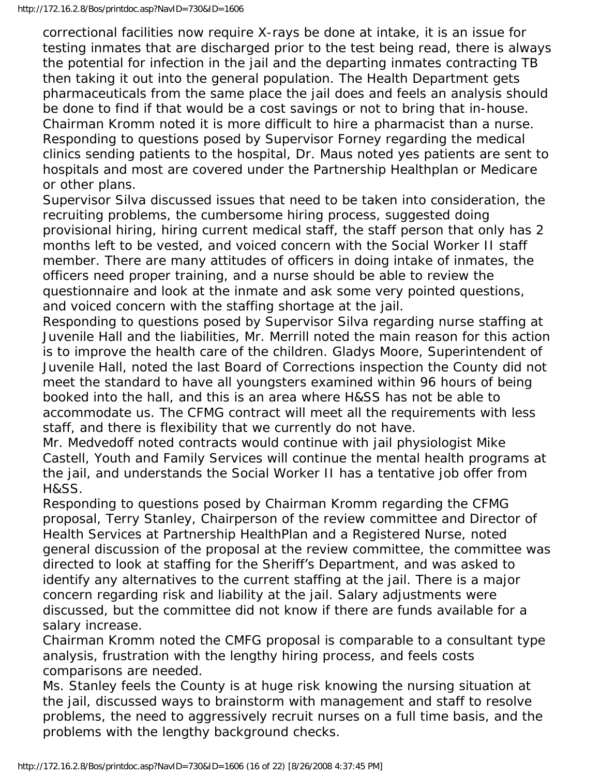correctional facilities now require X-rays be done at intake, it is an issue for testing inmates that are discharged prior to the test being read, there is always the potential for infection in the jail and the departing inmates contracting TB then taking it out into the general population. The Health Department gets pharmaceuticals from the same place the jail does and feels an analysis should be done to find if that would be a cost savings or not to bring that in-house. Chairman Kromm noted it is more difficult to hire a pharmacist than a nurse. Responding to questions posed by Supervisor Forney regarding the medical clinics sending patients to the hospital, Dr. Maus noted yes patients are sent to hospitals and most are covered under the Partnership Healthplan or Medicare or other plans.

Supervisor Silva discussed issues that need to be taken into consideration, the recruiting problems, the cumbersome hiring process, suggested doing provisional hiring, hiring current medical staff, the staff person that only has 2 months left to be vested, and voiced concern with the Social Worker II staff member. There are many attitudes of officers in doing intake of inmates, the officers need proper training, and a nurse should be able to review the questionnaire and look at the inmate and ask some very pointed questions, and voiced concern with the staffing shortage at the jail.

Responding to questions posed by Supervisor Silva regarding nurse staffing at Juvenile Hall and the liabilities, Mr. Merrill noted the main reason for this action is to improve the health care of the children. Gladys Moore, Superintendent of Juvenile Hall, noted the last Board of Corrections inspection the County did not meet the standard to have all youngsters examined within 96 hours of being booked into the hall, and this is an area where H&SS has not be able to accommodate us. The CFMG contract will meet all the requirements with less staff, and there is flexibility that we currently do not have.

Mr. Medvedoff noted contracts would continue with jail physiologist Mike Castell, Youth and Family Services will continue the mental health programs at the jail, and understands the Social Worker II has a tentative job offer from H&SS.

Responding to questions posed by Chairman Kromm regarding the CFMG proposal, Terry Stanley, Chairperson of the review committee and Director of Health Services at Partnership HealthPlan and a Registered Nurse, noted general discussion of the proposal at the review committee, the committee was directed to look at staffing for the Sheriff's Department, and was asked to identify any alternatives to the current staffing at the jail. There is a major concern regarding risk and liability at the jail. Salary adjustments were discussed, but the committee did not know if there are funds available for a salary increase.

Chairman Kromm noted the CMFG proposal is comparable to a consultant type analysis, frustration with the lengthy hiring process, and feels costs comparisons are needed.

Ms. Stanley feels the County is at huge risk knowing the nursing situation at the jail, discussed ways to brainstorm with management and staff to resolve problems, the need to aggressively recruit nurses on a full time basis, and the problems with the lengthy background checks.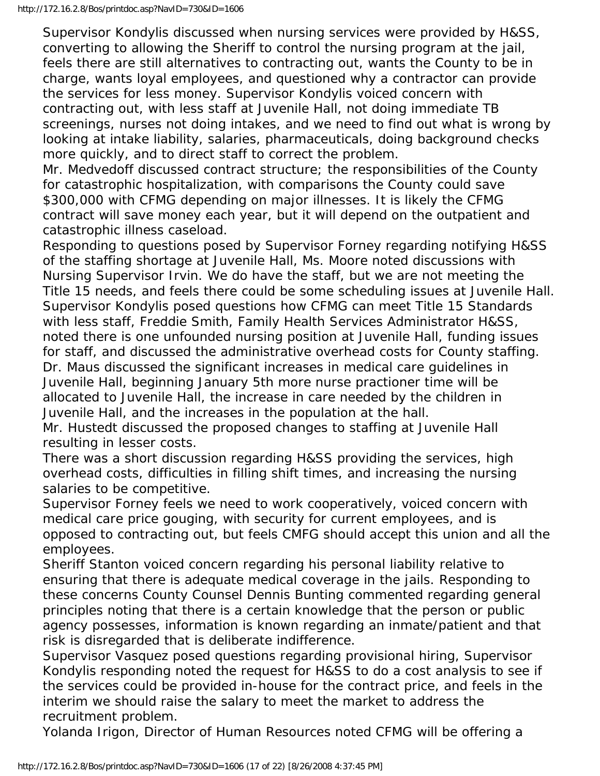Supervisor Kondylis discussed when nursing services were provided by H&SS, converting to allowing the Sheriff to control the nursing program at the jail, feels there are still alternatives to contracting out, wants the County to be in charge, wants loyal employees, and questioned why a contractor can provide the services for less money. Supervisor Kondylis voiced concern with contracting out, with less staff at Juvenile Hall, not doing immediate TB screenings, nurses not doing intakes, and we need to find out what is wrong by looking at intake liability, salaries, pharmaceuticals, doing background checks more quickly, and to direct staff to correct the problem.

Mr. Medvedoff discussed contract structure; the responsibilities of the County for catastrophic hospitalization, with comparisons the County could save \$300,000 with CFMG depending on major illnesses. It is likely the CFMG contract will save money each year, but it will depend on the outpatient and catastrophic illness caseload.

Responding to questions posed by Supervisor Forney regarding notifying H&SS of the staffing shortage at Juvenile Hall, Ms. Moore noted discussions with Nursing Supervisor Irvin. We do have the staff, but we are not meeting the Title 15 needs, and feels there could be some scheduling issues at Juvenile Hall. Supervisor Kondylis posed questions how CFMG can meet Title 15 Standards with less staff, Freddie Smith, Family Health Services Administrator H&SS, noted there is one unfounded nursing position at Juvenile Hall, funding issues for staff, and discussed the administrative overhead costs for County staffing. Dr. Maus discussed the significant increases in medical care guidelines in Juvenile Hall, beginning January 5th more nurse practioner time will be allocated to Juvenile Hall, the increase in care needed by the children in Juvenile Hall, and the increases in the population at the hall.

Mr. Hustedt discussed the proposed changes to staffing at Juvenile Hall resulting in lesser costs.

There was a short discussion regarding H&SS providing the services, high overhead costs, difficulties in filling shift times, and increasing the nursing salaries to be competitive.

Supervisor Forney feels we need to work cooperatively, voiced concern with medical care price gouging, with security for current employees, and is opposed to contracting out, but feels CMFG should accept this union and all the employees.

Sheriff Stanton voiced concern regarding his personal liability relative to ensuring that there is adequate medical coverage in the jails. Responding to these concerns County Counsel Dennis Bunting commented regarding general principles noting that there is a certain knowledge that the person or public agency possesses, information is known regarding an inmate/patient and that risk is disregarded that is deliberate indifference.

Supervisor Vasquez posed questions regarding provisional hiring, Supervisor Kondylis responding noted the request for H&SS to do a cost analysis to see if the services could be provided in-house for the contract price, and feels in the interim we should raise the salary to meet the market to address the recruitment problem.

Yolanda Irigon, Director of Human Resources noted CFMG will be offering a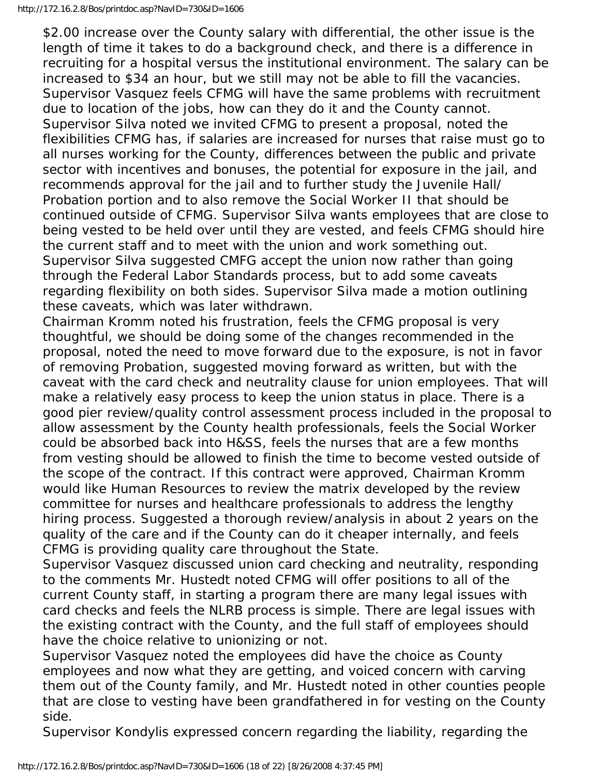\$2.00 increase over the County salary with differential, the other issue is the length of time it takes to do a background check, and there is a difference in recruiting for a hospital versus the institutional environment. The salary can be increased to \$34 an hour, but we still may not be able to fill the vacancies. Supervisor Vasquez feels CFMG will have the same problems with recruitment due to location of the jobs, how can they do it and the County cannot. Supervisor Silva noted we invited CFMG to present a proposal, noted the flexibilities CFMG has, if salaries are increased for nurses that raise must go to all nurses working for the County, differences between the public and private sector with incentives and bonuses, the potential for exposure in the jail, and recommends approval for the jail and to further study the Juvenile Hall/ Probation portion and to also remove the Social Worker II that should be continued outside of CFMG. Supervisor Silva wants employees that are close to being vested to be held over until they are vested, and feels CFMG should hire the current staff and to meet with the union and work something out. Supervisor Silva suggested CMFG accept the union now rather than going through the Federal Labor Standards process, but to add some caveats regarding flexibility on both sides. Supervisor Silva made a motion outlining these caveats, which was later withdrawn.

Chairman Kromm noted his frustration, feels the CFMG proposal is very thoughtful, we should be doing some of the changes recommended in the proposal, noted the need to move forward due to the exposure, is not in favor of removing Probation, suggested moving forward as written, but with the caveat with the card check and neutrality clause for union employees. That will make a relatively easy process to keep the union status in place. There is a good pier review/quality control assessment process included in the proposal to allow assessment by the County health professionals, feels the Social Worker could be absorbed back into H&SS, feels the nurses that are a few months from vesting should be allowed to finish the time to become vested outside of the scope of the contract. If this contract were approved, Chairman Kromm would like Human Resources to review the matrix developed by the review committee for nurses and healthcare professionals to address the lengthy hiring process. Suggested a thorough review/analysis in about 2 years on the quality of the care and if the County can do it cheaper internally, and feels CFMG is providing quality care throughout the State.

Supervisor Vasquez discussed union card checking and neutrality, responding to the comments Mr. Hustedt noted CFMG will offer positions to all of the current County staff, in starting a program there are many legal issues with card checks and feels the NLRB process is simple. There are legal issues with the existing contract with the County, and the full staff of employees should have the choice relative to unionizing or not.

Supervisor Vasquez noted the employees did have the choice as County employees and now what they are getting, and voiced concern with carving them out of the County family, and Mr. Hustedt noted in other counties people that are close to vesting have been grandfathered in for vesting on the County side.

Supervisor Kondylis expressed concern regarding the liability, regarding the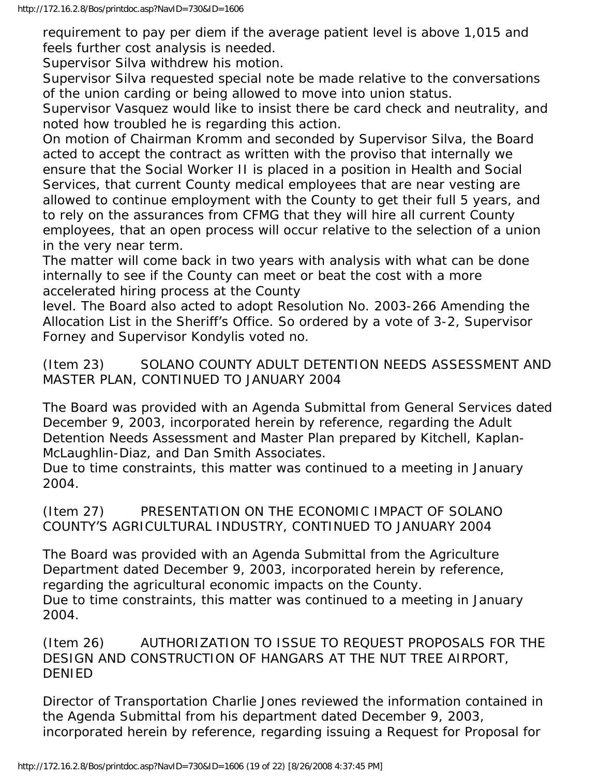requirement to pay per diem if the average patient level is above 1,015 and feels further cost analysis is needed.

Supervisor Silva withdrew his motion.

Supervisor Silva requested special note be made relative to the conversations of the union carding or being allowed to move into union status.

Supervisor Vasquez would like to insist there be card check and neutrality, and noted how troubled he is regarding this action.

On motion of Chairman Kromm and seconded by Supervisor Silva, the Board acted to accept the contract as written with the proviso that internally we ensure that the Social Worker II is placed in a position in Health and Social Services, that current County medical employees that are near vesting are allowed to continue employment with the County to get their full 5 years, and to rely on the assurances from CFMG that they will hire all current County employees, that an open process will occur relative to the selection of a union in the very near term.

The matter will come back in two years with analysis with what can be done internally to see if the County can meet or beat the cost with a more accelerated hiring process at the County

level. The Board also acted to adopt Resolution No. 2003-266 Amending the Allocation List in the Sheriff's Office. So ordered by a vote of 3-2, Supervisor Forney and Supervisor Kondylis voted no.

(Item 23) SOLANO COUNTY ADULT DETENTION NEEDS ASSESSMENT AND MASTER PLAN, CONTINUED TO JANUARY 2004

The Board was provided with an Agenda Submittal from General Services dated December 9, 2003, incorporated herein by reference, regarding the Adult Detention Needs Assessment and Master Plan prepared by Kitchell, Kaplan-McLaughlin-Diaz, and Dan Smith Associates.

Due to time constraints, this matter was continued to a meeting in January 2004.

(Item 27) PRESENTATION ON THE ECONOMIC IMPACT OF SOLANO COUNTY'S AGRICULTURAL INDUSTRY, CONTINUED TO JANUARY 2004

The Board was provided with an Agenda Submittal from the Agriculture Department dated December 9, 2003, incorporated herein by reference, regarding the agricultural economic impacts on the County. Due to time constraints, this matter was continued to a meeting in January 2004.

(Item 26) AUTHORIZATION TO ISSUE TO REQUEST PROPOSALS FOR THE DESIGN AND CONSTRUCTION OF HANGARS AT THE NUT TREE AIRPORT, DENIED

Director of Transportation Charlie Jones reviewed the information contained in the Agenda Submittal from his department dated December 9, 2003, incorporated herein by reference, regarding issuing a Request for Proposal for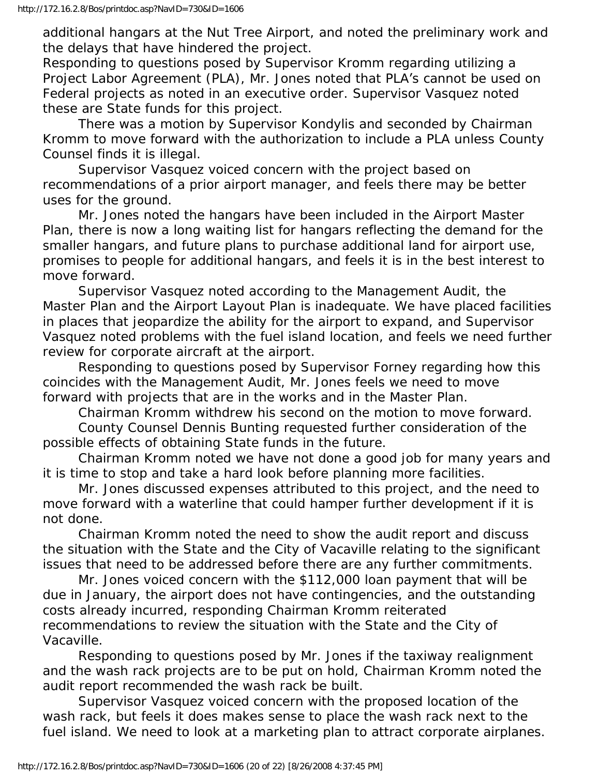additional hangars at the Nut Tree Airport, and noted the preliminary work and the delays that have hindered the project.

Responding to questions posed by Supervisor Kromm regarding utilizing a Project Labor Agreement (PLA), Mr. Jones noted that PLA's cannot be used on Federal projects as noted in an executive order. Supervisor Vasquez noted these are State funds for this project.

 There was a motion by Supervisor Kondylis and seconded by Chairman Kromm to move forward with the authorization to include a PLA unless County Counsel finds it is illegal.

 Supervisor Vasquez voiced concern with the project based on recommendations of a prior airport manager, and feels there may be better uses for the ground.

 Mr. Jones noted the hangars have been included in the Airport Master Plan, there is now a long waiting list for hangars reflecting the demand for the smaller hangars, and future plans to purchase additional land for airport use, promises to people for additional hangars, and feels it is in the best interest to move forward.

 Supervisor Vasquez noted according to the Management Audit, the Master Plan and the Airport Layout Plan is inadequate. We have placed facilities in places that jeopardize the ability for the airport to expand, and Supervisor Vasquez noted problems with the fuel island location, and feels we need further review for corporate aircraft at the airport.

 Responding to questions posed by Supervisor Forney regarding how this coincides with the Management Audit, Mr. Jones feels we need to move forward with projects that are in the works and in the Master Plan.

Chairman Kromm withdrew his second on the motion to move forward.

 County Counsel Dennis Bunting requested further consideration of the possible effects of obtaining State funds in the future.

 Chairman Kromm noted we have not done a good job for many years and it is time to stop and take a hard look before planning more facilities.

 Mr. Jones discussed expenses attributed to this project, and the need to move forward with a waterline that could hamper further development if it is not done.

 Chairman Kromm noted the need to show the audit report and discuss the situation with the State and the City of Vacaville relating to the significant issues that need to be addressed before there are any further commitments.

 Mr. Jones voiced concern with the \$112,000 loan payment that will be due in January, the airport does not have contingencies, and the outstanding costs already incurred, responding Chairman Kromm reiterated recommendations to review the situation with the State and the City of Vacaville.

 Responding to questions posed by Mr. Jones if the taxiway realignment and the wash rack projects are to be put on hold, Chairman Kromm noted the audit report recommended the wash rack be built.

 Supervisor Vasquez voiced concern with the proposed location of the wash rack, but feels it does makes sense to place the wash rack next to the fuel island. We need to look at a marketing plan to attract corporate airplanes.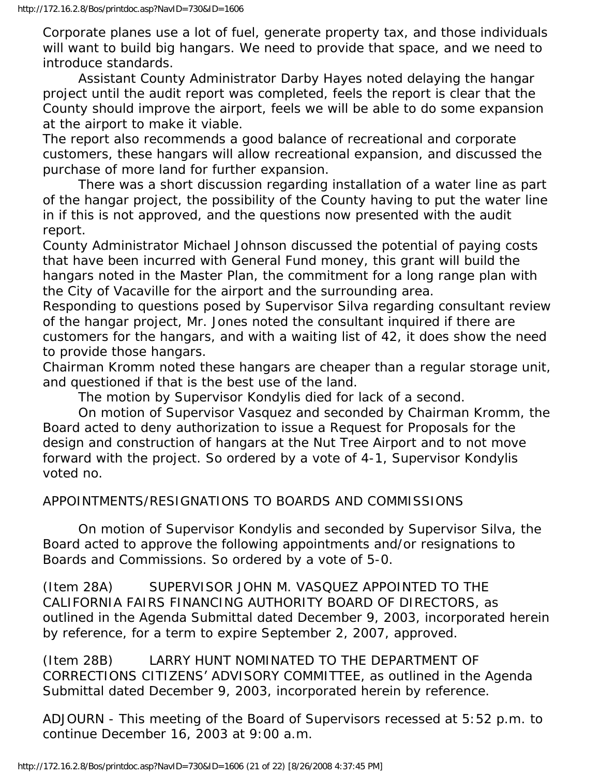Corporate planes use a lot of fuel, generate property tax, and those individuals will want to build big hangars. We need to provide that space, and we need to introduce standards.

 Assistant County Administrator Darby Hayes noted delaying the hangar project until the audit report was completed, feels the report is clear that the County should improve the airport, feels we will be able to do some expansion at the airport to make it viable.

The report also recommends a good balance of recreational and corporate customers, these hangars will allow recreational expansion, and discussed the purchase of more land for further expansion.

 There was a short discussion regarding installation of a water line as part of the hangar project, the possibility of the County having to put the water line in if this is not approved, and the questions now presented with the audit report.

County Administrator Michael Johnson discussed the potential of paying costs that have been incurred with General Fund money, this grant will build the hangars noted in the Master Plan, the commitment for a long range plan with the City of Vacaville for the airport and the surrounding area.

Responding to questions posed by Supervisor Silva regarding consultant review of the hangar project, Mr. Jones noted the consultant inquired if there are customers for the hangars, and with a waiting list of 42, it does show the need to provide those hangars.

Chairman Kromm noted these hangars are cheaper than a regular storage unit, and questioned if that is the best use of the land.

The motion by Supervisor Kondylis died for lack of a second.

 On motion of Supervisor Vasquez and seconded by Chairman Kromm, the Board acted to deny authorization to issue a Request for Proposals for the design and construction of hangars at the Nut Tree Airport and to not move forward with the project. So ordered by a vote of 4-1, Supervisor Kondylis voted no.

#### APPOINTMENTS/RESIGNATIONS TO BOARDS AND COMMISSIONS

 On motion of Supervisor Kondylis and seconded by Supervisor Silva, the Board acted to approve the following appointments and/or resignations to Boards and Commissions. So ordered by a vote of 5-0.

(Item 28A) SUPERVISOR JOHN M. VASQUEZ APPOINTED TO THE CALIFORNIA FAIRS FINANCING AUTHORITY BOARD OF DIRECTORS, as outlined in the Agenda Submittal dated December 9, 2003, incorporated herein by reference, for a term to expire September 2, 2007, approved.

(Item 28B) LARRY HUNT NOMINATED TO THE DEPARTMENT OF CORRECTIONS CITIZENS' ADVISORY COMMITTEE, as outlined in the Agenda Submittal dated December 9, 2003, incorporated herein by reference.

ADJOURN - This meeting of the Board of Supervisors recessed at 5:52 p.m. to continue December 16, 2003 at 9:00 a.m.